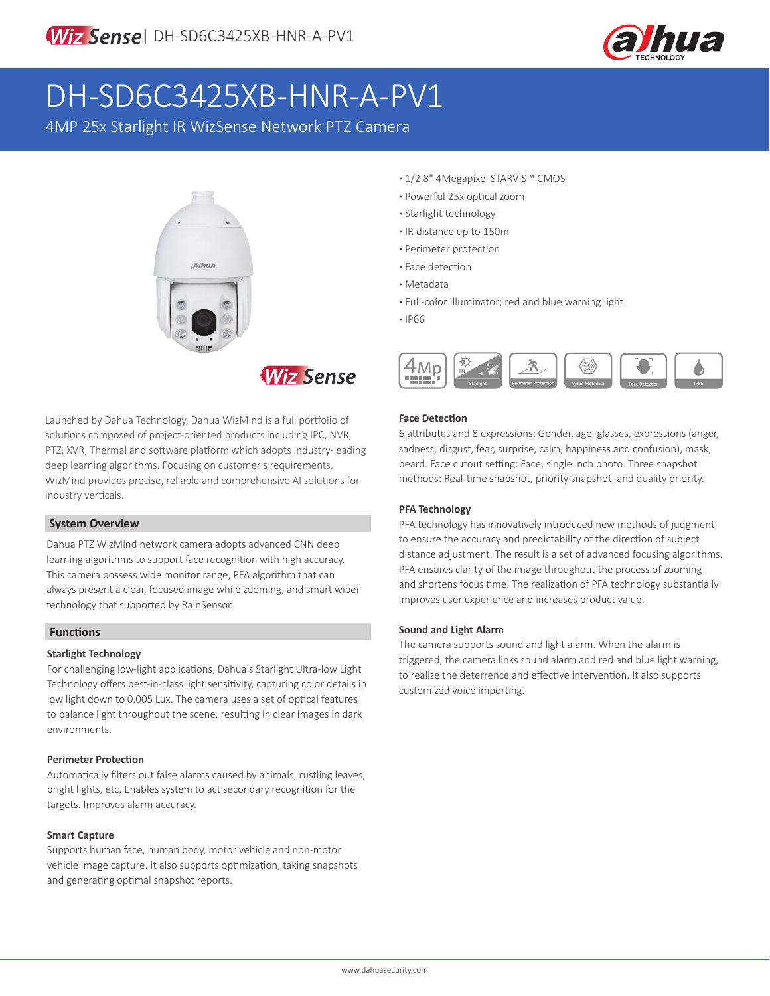

# DH-SD6C3425XB-HNR-A-PV1

4MP 25x Starlight IR WizSense Network PTZ Camera





Launched by Dahua Technology, Dahua WizMind is a full portfolio of solutions composed of project-oriented products including IPC, NVR, PTZ, XVR, Thermal and software platform which adopts industry-leading deep learning algorithms. Focusing on customer's requirements, WizMind provides precise, reliable and comprehensive AI solutions for industry verticals.

#### **System Overview**

Dahua PTZ WizMind network camera adopts advanced CNN deep learning algorithms to support face recognition with high accuracy. This camera possess wide monitor range, PFA algorithm that can always present a clear, focused image while zooming, and smart wiper technology that supported by RainSensor.

### **Functions**

#### **Starlight Technology**

For challenging low-light applications, Dahua's Starlight Ultra-low Light Technology offers best-in-class light sensitivity, capturing color details in low light down to 0.005 Lux. The camera uses a set of optical features to balance light throughout the scene, resulting in clear images in dark environments.

#### **Perimeter Protection**

Automatically filters out false alarms caused by animals, rustling leaves, bright lights, etc. Enables system to act secondary recognition for the targets. Improves alarm accuracy.

#### **Smart Capture**

Supports human face, human body, motor vehicle and non-motor vehicle image capture. It also supports optimization, taking snapshots and generating optimal snapshot reports.

- **·** 1/2.8" 4Megapixel STARVIS™ CMOS
- **·** Powerful 25x optical zoom
- **·** Starlight technology
- **·** IR distance up to 150m
- **·** Perimeter protection
- **·** Face detection
- **·** Metadata
- **·** Full-color illuminator; red and blue warning light
- **·** IP66



#### **Face Detection**

6 attributes and 8 expressions: Gender, age, glasses, expressions (anger, sadness, disgust, fear, surprise, calm, happiness and confusion), mask, beard. Face cutout setting: Face, single inch photo. Three snapshot methods: Real-time snapshot, priority snapshot, and quality priority.

#### **PFA Technology**

PFA technology has innovatively introduced new methods of judgment to ensure the accuracy and predictability of the direction of subject distance adjustment. The result is a set of advanced focusing algorithms. PFA ensures clarity of the image throughout the process of zooming and shortens focus time. The realization of PFA technology substantially improves user experience and increases product value.

#### **Sound and Light Alarm**

The camera supports sound and light alarm. When the alarm is triggered, the camera links sound alarm and red and blue light warning, to realize the deterrence and effective intervention. It also supports customized voice importing.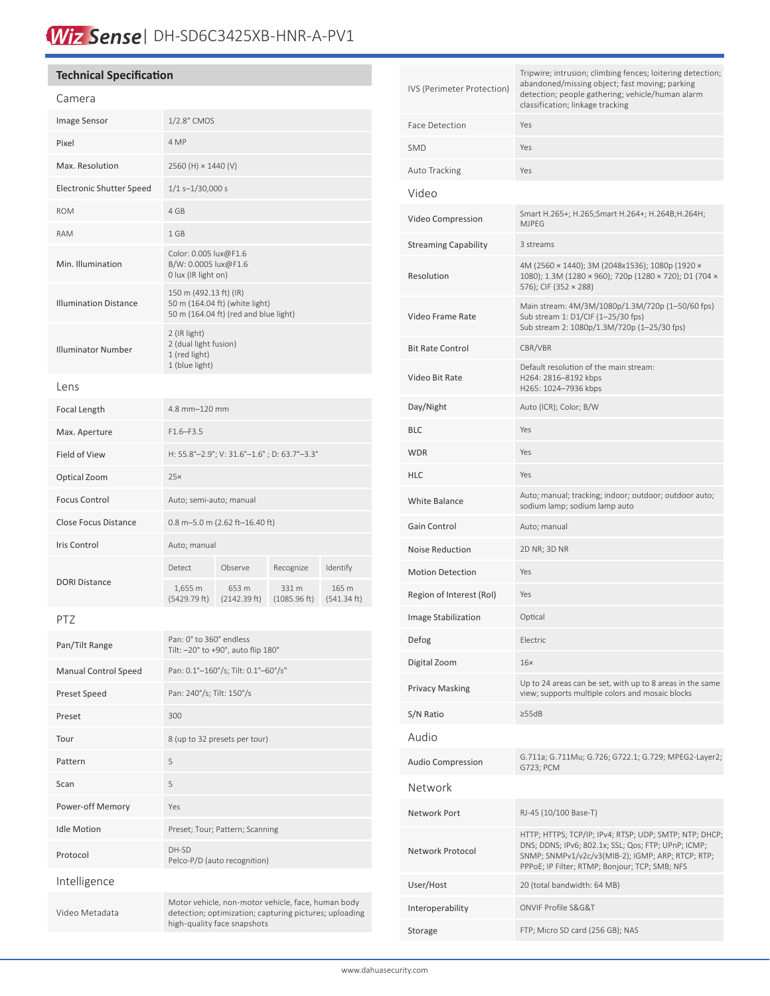# Wiz Sense | DH-SD6C3425XB-HNR-A-PV1

### **Technical Specification**

### Camera

| Callield                        |                                                                                                   |                       |                       |                      |
|---------------------------------|---------------------------------------------------------------------------------------------------|-----------------------|-----------------------|----------------------|
| Image Sensor                    | 1/2.8" CMOS                                                                                       |                       |                       |                      |
| Pixel                           | 4 MP                                                                                              |                       |                       |                      |
| Max. Resolution                 | 2560 (H) × 1440 (V)                                                                               |                       |                       |                      |
| <b>Electronic Shutter Speed</b> | $1/1$ s- $1/30,000$ s                                                                             |                       |                       |                      |
| <b>ROM</b>                      | 4 GB                                                                                              |                       |                       |                      |
| <b>RAM</b>                      | 1 GB                                                                                              |                       |                       |                      |
| Min. Illumination               | Color: 0.005 lux@F1.6<br>B/W: 0.0005 lux@F1.6<br>0 lux (IR light on)                              |                       |                       |                      |
| <b>Illumination Distance</b>    | 150 m (492.13 ft) (IR)<br>50 m (164.04 ft) (white light)<br>50 m (164.04 ft) (red and blue light) |                       |                       |                      |
| <b>Illuminator Number</b>       | 2 (IR light)<br>2 (dual light fusion)<br>1 (red light)<br>1 (blue light)                          |                       |                       |                      |
| Lens                            |                                                                                                   |                       |                       |                      |
| Focal Length                    | 4.8 mm-120 mm                                                                                     |                       |                       |                      |
| Max. Aperture                   | $F1.6 - F3.5$                                                                                     |                       |                       |                      |
| <b>Field of View</b>            | H: 55.8°-2.9°; V: 31.6°-1.6°; D: 63.7°-3.3°                                                       |                       |                       |                      |
| Optical Zoom                    | 25x                                                                                               |                       |                       |                      |
| <b>Focus Control</b>            | Auto; semi-auto; manual                                                                           |                       |                       |                      |
| <b>Close Focus Distance</b>     | 0.8 m-5.0 m (2.62 ft-16.40 ft)                                                                    |                       |                       |                      |
| Iris Control                    | Auto; manual                                                                                      |                       |                       |                      |
|                                 | Detect                                                                                            | Observe               | Recognize             | Identify             |
| <b>DORI Distance</b>            | 1,655 m<br>(5429.79 ft)                                                                           | 653 m<br>(2142.39 ft) | 331 m<br>(1085.96 ft) | 165 m<br>(541.34 ft) |
| PTZ                             |                                                                                                   |                       |                       |                      |
| Pan/Tilt Range                  | Pan: 0° to 360° endless<br>Tilt: -20° to +90°, auto flip 180°                                     |                       |                       |                      |
|                                 |                                                                                                   |                       |                       |                      |

| Pan/Tilt Range              | Tilt: -20° to +90°, auto flip 180°                                                                                                          |  |
|-----------------------------|---------------------------------------------------------------------------------------------------------------------------------------------|--|
| <b>Manual Control Speed</b> | Pan: 0.1°-160°/s; Tilt: 0.1°-60°/s"                                                                                                         |  |
| <b>Preset Speed</b>         | Pan: 240°/s; Tilt: 150°/s                                                                                                                   |  |
| Preset                      | 300                                                                                                                                         |  |
| Tour                        | 8 (up to 32 presets per tour)                                                                                                               |  |
| Pattern                     | 5                                                                                                                                           |  |
| Scan                        | 5                                                                                                                                           |  |
| Power-off Memory            | Yes                                                                                                                                         |  |
| <b>Idle Motion</b>          | Preset; Tour; Pattern; Scanning                                                                                                             |  |
| Protocol                    | DH-SD<br>Pelco-P/D (auto recognition)                                                                                                       |  |
| Intelligence                |                                                                                                                                             |  |
| Video Metadata              | Motor vehicle, non-motor vehicle, face, human body<br>detection; optimization; capturing pictures; uploading<br>high-quality face snapshots |  |

| IVS (Perimeter Protection)  | Tripwire; intrusion; climbing fences; loitering detection;<br>abandoned/missing object; fast moving; parking<br>detection; people gathering; vehicle/human alarm<br>classification; linkage tracking                 |  |
|-----------------------------|----------------------------------------------------------------------------------------------------------------------------------------------------------------------------------------------------------------------|--|
| <b>Face Detection</b>       | Yes                                                                                                                                                                                                                  |  |
| <b>SMD</b>                  | Yes                                                                                                                                                                                                                  |  |
| Auto Tracking               | Yes                                                                                                                                                                                                                  |  |
| Video                       |                                                                                                                                                                                                                      |  |
| Video Compression           | Smart H.265+; H.265;Smart H.264+; H.264B;H.264H;<br><b>MJPEG</b>                                                                                                                                                     |  |
| <b>Streaming Capability</b> | 3 streams                                                                                                                                                                                                            |  |
| Resolution                  | 4M (2560 × 1440); 3M (2048x1536); 1080p (1920 ×<br>1080); 1.3M (1280 × 960); 720p (1280 × 720); D1 (704 ×<br>576); CIF (352 × 288)                                                                                   |  |
| Video Frame Rate            | Main stream: 4M/3M/1080p/1.3M/720p (1-50/60 fps)<br>Sub stream 1: D1/CIF (1-25/30 fps)<br>Sub stream 2: 1080p/1.3M/720p (1-25/30 fps)                                                                                |  |
| <b>Bit Rate Control</b>     | CBR/VBR                                                                                                                                                                                                              |  |
| Video Bit Rate              | Default resolution of the main stream:<br>H264: 2816-8192 kbps<br>H265: 1024-7936 kbps                                                                                                                               |  |
| Day/Night                   | Auto (ICR); Color; B/W                                                                                                                                                                                               |  |
| <b>BLC</b>                  | Yes                                                                                                                                                                                                                  |  |
| <b>WDR</b>                  | Yes                                                                                                                                                                                                                  |  |
| HLC                         | Yes                                                                                                                                                                                                                  |  |
| <b>White Balance</b>        | Auto; manual; tracking; indoor; outdoor; outdoor auto;<br>sodium lamp; sodium lamp auto                                                                                                                              |  |
| Gain Control                | Auto; manual                                                                                                                                                                                                         |  |
| Noise Reduction             | 2D NR; 3D NR                                                                                                                                                                                                         |  |
| <b>Motion Detection</b>     | Yes                                                                                                                                                                                                                  |  |
| Region of Interest (RoI)    | Yes                                                                                                                                                                                                                  |  |
| Image Stabilization         | Optical                                                                                                                                                                                                              |  |
| Defog                       | Electric                                                                                                                                                                                                             |  |
| Digital Zoom                | 16 <sub>x</sub>                                                                                                                                                                                                      |  |
| <b>Privacy Masking</b>      | Up to 24 areas can be set, with up to 8 areas in the same<br>view; supports multiple colors and mosaic blocks                                                                                                        |  |
| S/N Ratio                   | $\geq$ 55dB                                                                                                                                                                                                          |  |
| Audio                       |                                                                                                                                                                                                                      |  |
| <b>Audio Compression</b>    | G.711a; G.711Mu; G.726; G722.1; G.729; MPEG2-Layer2;<br>G723; PCM                                                                                                                                                    |  |
| Network                     |                                                                                                                                                                                                                      |  |
| Network Port                | RJ-45 (10/100 Base-T)                                                                                                                                                                                                |  |
| Network Protocol            | HTTP; HTTPS; TCP/IP; IPv4; RTSP; UDP; SMTP; NTP; DHCP;<br>DNS; DDNS; IPv6; 802.1x; SSL; Qos; FTP; UPnP; ICMP;<br>SNMP; SNMPv1/v2c/v3(MIB-2); IGMP; ARP; RTCP; RTP;<br>PPPoE; IP Filter; RTMP; Bonjour; TCP; SMB; NFS |  |
| User/Host                   | 20 (total bandwidth: 64 MB)                                                                                                                                                                                          |  |
| Interoperability            | <b>ONVIF Profile S&amp;G&amp;T</b>                                                                                                                                                                                   |  |
| Storage                     | FTP; Micro SD card (256 GB); NAS                                                                                                                                                                                     |  |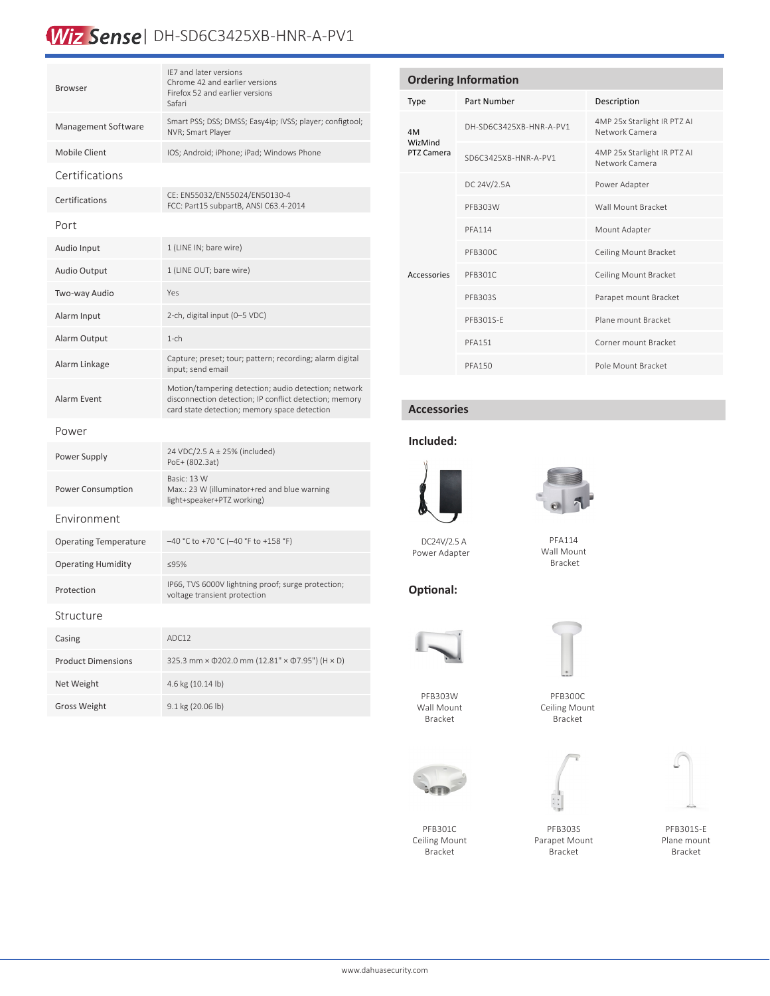## Wiz Sense | DH-SD6C3425XB-HNR-A-PV1

| <b>Browser</b>               | IF7 and later versions<br>Chrome 42 and earlier versions<br>Firefox 52 and earlier versions<br>Safari                                                          |  |  |  |
|------------------------------|----------------------------------------------------------------------------------------------------------------------------------------------------------------|--|--|--|
| Management Software          | Smart PSS; DSS; DMSS; Easy4ip; IVSS; player; configtool;<br>NVR; Smart Player                                                                                  |  |  |  |
| Mobile Client                | IOS; Android; iPhone; iPad; Windows Phone                                                                                                                      |  |  |  |
| Certifications               |                                                                                                                                                                |  |  |  |
| Certifications               | CE: EN55032/EN55024/EN50130-4<br>FCC: Part15 subpartB, ANSI C63.4-2014                                                                                         |  |  |  |
| Port                         |                                                                                                                                                                |  |  |  |
| Audio Input                  | 1 (LINE IN; bare wire)                                                                                                                                         |  |  |  |
| Audio Output                 | 1 (LINE OUT; bare wire)                                                                                                                                        |  |  |  |
| Two-way Audio                | Yes                                                                                                                                                            |  |  |  |
| Alarm Input                  | 2-ch, digital input (0-5 VDC)                                                                                                                                  |  |  |  |
| Alarm Output                 | $1$ -ch                                                                                                                                                        |  |  |  |
| Alarm Linkage                | Capture; preset; tour; pattern; recording; alarm digital<br>input; send email                                                                                  |  |  |  |
| <b>Alarm Event</b>           | Motion/tampering detection; audio detection; network<br>disconnection detection; IP conflict detection; memory<br>card state detection; memory space detection |  |  |  |
| Power                        |                                                                                                                                                                |  |  |  |
| Power Supply                 | 24 VDC/2.5 A ± 25% (included)<br>PoE+ (802.3at)                                                                                                                |  |  |  |
| <b>Power Consumption</b>     | Basic: 13 W<br>Max.: 23 W (illuminator+red and blue warning<br>light+speaker+PTZ working)                                                                      |  |  |  |
| Environment                  |                                                                                                                                                                |  |  |  |
| <b>Operating Temperature</b> | -40 °C to +70 °C (-40 °F to +158 °F)                                                                                                                           |  |  |  |
| <b>Operating Humidity</b>    | ≤95%                                                                                                                                                           |  |  |  |
| Protection                   | IP66, TVS 6000V lightning proof; surge protection;<br>voltage transient protection                                                                             |  |  |  |
| Structure                    |                                                                                                                                                                |  |  |  |
| Casing                       | ADC12                                                                                                                                                          |  |  |  |
| <b>Product Dimensions</b>    | 325.3 mm × 0202.0 mm (12.81" × 07.95") (H × D)                                                                                                                 |  |  |  |
| Net Weight                   | 4.6 kg (10.14 lb)                                                                                                                                              |  |  |  |
| <b>Gross Weight</b>          | 9.1 kg (20.06 lb)                                                                                                                                              |  |  |  |

| <b>Ordering Information</b>        |                         |                                               |  |  |  |
|------------------------------------|-------------------------|-----------------------------------------------|--|--|--|
| Type                               | Part Number             | Description                                   |  |  |  |
| 4M<br><b>WizMind</b><br>PTZ Camera | DH-SD6C3425XB-HNR-A-PV1 | 4MP 25x Starlight IR PTZ AI<br>Network Camera |  |  |  |
|                                    | SD6C3425XB-HNR-A-PV1    | 4MP 25x Starlight IR PTZ AI<br>Network Camera |  |  |  |
| Accessories                        | DC 24V/2.5A             | Power Adapter                                 |  |  |  |
|                                    | PFB303W                 | Wall Mount Bracket                            |  |  |  |
|                                    | <b>PFA114</b>           | Mount Adapter                                 |  |  |  |
|                                    | PFB300C                 | Ceiling Mount Bracket                         |  |  |  |
|                                    | PFB301C                 | Ceiling Mount Bracket                         |  |  |  |
|                                    | PFB303S                 | Parapet mount Bracket                         |  |  |  |
|                                    | PFB301S-F               | Plane mount Bracket                           |  |  |  |
|                                    | <b>PFA151</b>           | Corner mount Bracket                          |  |  |  |
|                                    | <b>PFA150</b>           | Pole Mount Bracket                            |  |  |  |

#### **Accessories**

#### **Included:**



DC24V/2.5 A Power Adapter



PFA114 Wall Mount Bracket



**Optional:**



PFB303W Wall Mount Bracket



PFB301C Ceiling Mount Bracket

PFB303S Parapet Mount Bracket

PFB300C Ceiling Mount Bracket



PFB301S-E Plane mount Bracket